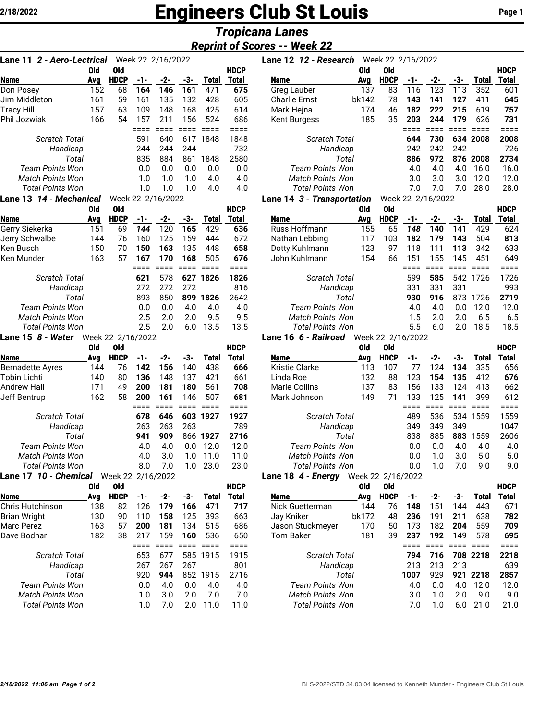# **2/18/2022 Engineers Club St Louis** Page 1

## *Tropicana Lanes Reprint of Scores -- Week 22*

|                                   |     |             |     |                   |     |              | <i></i>                    |             |
|-----------------------------------|-----|-------------|-----|-------------------|-----|--------------|----------------------------|-------------|
|                                   |     |             |     |                   |     |              | <b>Reprint of Scores -</b> |             |
| Lane 11 <i>2 - Aero-Lectrical</i> |     |             |     | Week 22 2/16/2022 |     |              |                            | <b>Lane</b> |
|                                   | 0ld | 0ld         |     |                   |     |              | <b>HDCP</b>                |             |
| <b>Name</b>                       | Avg | <b>HDCP</b> | -1- | -2-               | -3- | <b>Total</b> | <b>Total</b>               | Nam         |
| Don Posey                         | 152 | 68          | 164 | 146               | 161 | 471          | 675                        | Gre         |
| Jim Middleton                     | 161 | 59          | 161 | 135               | 132 | 428          | 605                        | Cha         |
| Tracy Hill                        | 157 | 63          | 109 | 148               | 168 | 425          | 614                        | Mar         |
| Phil Jozwiak                      | 166 | 54          | 157 | 211               | 156 | 524          | 686                        | Ken         |
|                                   |     |             |     |                   |     |              |                            |             |
| Scratch Total                     |     |             | 591 | 640               | 617 | 1848         | 1848                       |             |
| Handicap                          |     |             | 244 | 244               | 244 |              | 732                        |             |
| Total                             |     |             | 835 | 884               | 861 | 1848         | 2580                       |             |
| <b>Team Points Won</b>            |     |             | 0.0 | 0.0               | 0.0 | 0.0          | 0.0                        |             |
| <b>Match Points Won</b>           |     |             | 1.0 | 1.0               | 1.0 | 4.0          | 4.0                        |             |
| <b>Total Points Won</b>           |     |             | 1.0 | 1.0               | 1.0 | 4.0          | 4.0                        |             |

| Lane 13 <i>14 - Mechanical</i> |     |             |     | Week 22 2/16/2022 |     |          |             |
|--------------------------------|-----|-------------|-----|-------------------|-----|----------|-------------|
|                                | Old | Old         |     |                   |     |          | <b>HDCP</b> |
| Name                           | Ava | <b>HDCP</b> | -1- | -2-               | -3- | Total    | Total       |
| Gerry Siekerka                 | 151 | 69          | 144 | 120               | 165 | 429      | 636         |
| Jerry Schwalbe                 | 144 | 76          | 160 | 125               | 159 | 444      | 672         |
| Ken Busch                      | 150 | 70          | 150 | 163               | 135 | 448      | 658         |
| Ken Munder                     | 163 | 57          | 167 | 170               | 168 | 505      | 676         |
|                                |     |             |     |                   |     |          |             |
| Scratch Total                  |     |             | 621 | 578               |     | 627 1826 | 1826        |
| Handicap                       |     |             | 272 | 272               | 272 |          | 816         |
| Total                          |     |             | 893 | 850               | 899 | 1826     | 2642        |
| Team Points Won                |     |             | 0.0 | 0.0               | 4.0 | 4.0      | 4.0         |
| Match Points Won               |     |             | 2.5 | 2.0               | 2.0 | 9.5      | 9.5         |
| Total Points Won               |     |             | 2.5 | 2.0               | 6.0 | 13.5     | 13.5        |

#### **Lane 15** *8 - Water* Week 22 2/16/2022

|                              | 0ld | 0ld               |     |     |     |          | <b>HDCP</b> |
|------------------------------|-----|-------------------|-----|-----|-----|----------|-------------|
| <b>Name</b>                  | Avg | <b>HDCP</b>       | -1- | -2- | -3- | Total    | Total       |
| <b>Bernadette Ayres</b>      | 144 | 76                | 142 | 156 | 140 | 438      | 666         |
| Tobin Lichti                 | 140 | 80                | 136 | 148 | 137 | 421      | 661         |
| Andrew Hall                  | 171 | 49                | 200 | 181 | 180 | 561      | 708         |
| Jeff Bentrup                 | 162 | 58                | 200 | 161 | 146 | 507      | 681         |
|                              |     |                   |     |     |     |          |             |
| Scratch Total                |     |                   | 678 | 646 |     | 603 1927 | 1927        |
| Handicap                     |     |                   | 263 | 263 | 263 |          | 789         |
| Total                        |     |                   | 941 | 909 | 866 | 1927     | 2716        |
| Team Points Won              |     |                   | 4.0 | 4.0 | 0.0 | 12.0     | 12.0        |
| Match Points Won             |     |                   | 4.0 | 3.0 | 1.0 | 11.0     | 11.0        |
| Total Points Won             |     |                   | 8.0 | 7.0 | 1.0 | 23.0     | 23.0        |
| Lane 17 <i>10 - Chemical</i> |     | Week 22 2/16/2022 |     |     |     |          |             |

|                         | vid | Old         |     |     |     |       | HDCP  |
|-------------------------|-----|-------------|-----|-----|-----|-------|-------|
| <b>Name</b>             | Avg | <b>HDCP</b> | -1- | -2- | -3- | Total | Total |
| <b>Chris Hutchinson</b> | 138 | 82          | 126 | 179 | 166 | 471   | 717   |
| <b>Brian Wright</b>     | 130 | 90          | 110 | 158 | 125 | 393   | 663   |
| Marc Perez              | 163 | 57          | 200 | 181 | 134 | 515   | 686   |
| Dave Bodnar             | 182 | 38          | 217 | 159 | 160 | 536   | 650   |
|                         |     |             |     |     |     |       |       |
| Scratch Total           |     |             | 653 | 677 | 585 | 1915  | 1915  |
| Handicap                |     |             | 267 | 267 | 267 |       | 801   |
| Total                   |     |             | 920 | 944 | 852 | 1915  | 2716  |
| Team Points Won         |     |             | 0.0 | 4.0 | 0.0 | 4.0   | 4.0   |
| Match Points Won        |     |             | 1.0 | 3.0 | 2.0 | 7.0   | 7.0   |
| Total Points Won        |     |             | 1.0 | 7.0 | 2.0 | 11.0  | 11.0  |
|                         |     |             |     |     |     |       |       |

| Lane 11  2 - Aero-Lectrical                                                                                                                                                                                                                                                                                                                                                          | Lane 12 12 - Research |             | Week 22 2/16/2022 |                                                                                                                 |     |       |             |                                     |       |             |     |                                                                                                                                                         |     |          |             |
|--------------------------------------------------------------------------------------------------------------------------------------------------------------------------------------------------------------------------------------------------------------------------------------------------------------------------------------------------------------------------------------|-----------------------|-------------|-------------------|-----------------------------------------------------------------------------------------------------------------|-----|-------|-------------|-------------------------------------|-------|-------------|-----|---------------------------------------------------------------------------------------------------------------------------------------------------------|-----|----------|-------------|
|                                                                                                                                                                                                                                                                                                                                                                                      | 0ld                   | 0ld         |                   |                                                                                                                 |     |       | <b>HDCP</b> |                                     | 0ld   | 0ld         |     |                                                                                                                                                         |     |          | <b>HDCP</b> |
| Name                                                                                                                                                                                                                                                                                                                                                                                 | Ava                   | <b>HDCP</b> | -1-               | -2-                                                                                                             | -3- | Total | Total       | <b>Name</b>                         | Ava   | <b>HDCP</b> | -1- | -2-                                                                                                                                                     | -3- | Total    | Total       |
| Don Posev                                                                                                                                                                                                                                                                                                                                                                            | 152                   | 68          | 164               | 146                                                                                                             | 161 | 471   | 675         | Greg Lauber                         | 137   | 83          | 116 | 123                                                                                                                                                     | 113 | 352      | 601         |
| Jim Middleton                                                                                                                                                                                                                                                                                                                                                                        | 161                   | 59          | 161               | 135                                                                                                             | 132 | 428   | 605         | <b>Charlie Ernst</b>                | bk142 | 78          | 143 | 141                                                                                                                                                     | 127 | 411      | 645         |
| Tracy Hill                                                                                                                                                                                                                                                                                                                                                                           | 157                   | 63          | 109               | 148                                                                                                             | 168 | 425   | 614         | Mark Hejna                          | 174   | 46          | 182 | 222                                                                                                                                                     | 215 | 619      | 757         |
| Phil Jozwiak                                                                                                                                                                                                                                                                                                                                                                         | 166                   | 54          | 157               | 211                                                                                                             | 156 | 524   | 686         | <b>Kent Burgess</b>                 | 185   | 35          | 203 | 244                                                                                                                                                     | 179 | 626      | 731         |
|                                                                                                                                                                                                                                                                                                                                                                                      |                       |             |                   |                                                                                                                 |     |       |             |                                     |       |             |     |                                                                                                                                                         |     |          |             |
| <b>Scratch Total</b>                                                                                                                                                                                                                                                                                                                                                                 |                       |             | 591               | 640                                                                                                             | 617 | 1848  | 1848        | <b>Scratch Total</b>                |       |             | 644 | 730                                                                                                                                                     |     | 634 2008 | 2008        |
| Handicap                                                                                                                                                                                                                                                                                                                                                                             |                       |             | 244               | 244                                                                                                             | 244 |       | 732         | Handicap                            |       |             | 242 | 242                                                                                                                                                     | 242 |          | 726         |
| Total                                                                                                                                                                                                                                                                                                                                                                                |                       |             | 835               | 884                                                                                                             | 861 | 1848  | 2580        |                                     | Total |             | 886 | 972                                                                                                                                                     | 876 | 2008     | 2734        |
| <b>Team Points Won</b>                                                                                                                                                                                                                                                                                                                                                               |                       |             | 0.0               | 0.0                                                                                                             | 0.0 | 0.0   | 0.0         | Team Points Won                     |       |             | 4.0 | 4.0                                                                                                                                                     | 4.0 | 16.0     | 16.0        |
| <b>Match Points Won</b>                                                                                                                                                                                                                                                                                                                                                              |                       |             | 1.0               | 1.0                                                                                                             | 1.0 | 4.0   | 4.0         | <b>Match Points Won</b>             |       |             | 3.0 | 3.0                                                                                                                                                     | 3.0 | 12.0     | 12.0        |
| <b>Total Points Won</b>                                                                                                                                                                                                                                                                                                                                                              |                       |             | 1.0               | 1.0                                                                                                             |     | 4.0   | 4.0         | <b>Total Points Won</b>             |       |             | 7.0 | 7 በ                                                                                                                                                     | 7.0 | 28.0     | 28.0        |
| $\overline{A}$ $\overline{A}$ $\overline{A}$ $\overline{A}$ $\overline{A}$ $\overline{A}$ $\overline{A}$ $\overline{A}$ $\overline{A}$ $\overline{A}$ $\overline{A}$ $\overline{A}$ $\overline{A}$ $\overline{A}$ $\overline{A}$ $\overline{A}$ $\overline{A}$ $\overline{A}$ $\overline{A}$ $\overline{A}$ $\overline{A}$ $\overline{A}$ $\overline{A}$ $\overline{A}$ $\overline{$ |                       |             |                   | $\overline{11}$ $\overline{1}$ $\overline{0}$ $\overline{0}$ $\overline{11}$ $\overline{1}$ $\overline{100000}$ |     |       |             | $\bullet$ . There is a statistic of |       |             |     | $\overline{11}$ $\overline{1}$ $\overline{0}$ $\overline{0}$ $\overline{11}$ $\overline{1}$ $\overline{1}$ $\overline{0}$ $\overline{0}$ $\overline{0}$ |     |          |             |

#### **Lane 14** *3 - Transportation* Week 22 2/16/2022

| Old                     | 0ld         |     |     |     |       | <b>HDCP</b> |                | Old | 0ld                                                                                                       |     |     |     |       | <b>HDCP</b> |
|-------------------------|-------------|-----|-----|-----|-------|-------------|----------------|-----|-----------------------------------------------------------------------------------------------------------|-----|-----|-----|-------|-------------|
| Avg                     | <b>HDCP</b> | -1- | -2- | -3- | Total | Total       | <b>Name</b>    | Avg | <b>HDCP</b>                                                                                               |     | -2- | -3- | Total | Total       |
| 151                     | 69          | 144 | 120 | 165 | 429   | 636         | Russ Hoffmann  | 155 | 65                                                                                                        | 148 | 140 | 141 | 429   | 624         |
| 144                     | 76          | 160 | 125 | 159 | 444   | 672         | Nathan Lebbing | 117 | 103                                                                                                       | 182 | 179 | 143 | 504   | 813         |
| 150                     | 70          | 150 | 163 | 135 | 448   | 658         | Dotty Kuhlmann | 123 | 97                                                                                                        | 118 |     | 113 | 342   | 633         |
| 163                     | 57          | 167 | 170 | 168 | 505   | 676         | John Kuhlmann  | 154 | 66                                                                                                        | 151 | 155 | 145 | 451   | 649         |
|                         |             |     |     |     |       |             |                |     |                                                                                                           |     |     |     |       |             |
|                         |             | 621 | 578 | 627 |       | 1826        |                |     |                                                                                                           | 599 | 585 | 542 | 726   | 1726        |
|                         |             | 272 | 272 | 272 |       | 816         |                |     |                                                                                                           | 331 | 331 | 331 |       | 993         |
|                         |             | 893 | 850 | 899 | 1826  | 2642        | Total          |     |                                                                                                           | 930 | 916 | 873 | 726   | 2719        |
| <b>Team Points Won</b>  |             | 0.0 | 0.O | 4.0 | 4.0   | 4.0         |                |     |                                                                                                           | 4.0 | 4.0 | 0.0 | 12.0  | 12.0        |
|                         |             | 2.5 | 2.0 | 2 በ | 9.5   | 9.5         |                |     |                                                                                                           | 1.5 | 2.0 | 2.0 | 6.5   | 6.5         |
| <b>Total Points Won</b> |             | 2.5 | 2 በ | 6.0 | 13.5  | 13.5        |                |     |                                                                                                           | 5.5 | 6.0 | 2.0 | 18.5  | 18.5        |
|                         |             |     |     |     |       | 1826        |                |     | <b>Scratch Total</b><br>Handicap<br>Team Points Won<br><b>Match Points Won</b><br><b>Total Points Won</b> |     |     |     |       |             |

#### **Lane 16** *6 - Railroad* Week 22 2/16/2022

|                         | Old | 0ld         |     |     |          |       | <b>HDCP</b> |                         | Old | 0ld         |     |          |     |       | <b>HDCP</b> |
|-------------------------|-----|-------------|-----|-----|----------|-------|-------------|-------------------------|-----|-------------|-----|----------|-----|-------|-------------|
| Name                    | Ava | <b>HDCP</b> | -1- | -2- | -3-      | Total | Total       | <b>Name</b>             | Ava | <b>HDCP</b> | -1- | -2-      | -3- | Total | Total       |
| Bernadette Ayres        | 144 | 76          | 142 | 156 | 140      | 438   | 666         | <b>Kristie Clarke</b>   | 113 | 107         |     | 124      | 134 | 335   | 656         |
| Tobin Lichti            | 140 | 80          | 136 | 148 | 137      | 421   | 661         | Linda Roe               | 132 | 88          | 123 | 154      | 135 | 412   | 676         |
| Andrew Hall             | 171 | 49          | 200 | 181 | 180      | 561   | 708         | Marie Collins           | 137 | 83          | 156 | 133      | 124 | 413   | 662         |
| Jeff Bentrup            | 162 | 58          | 200 | 161 | 146      | 507   | 681         | Mark Johnson            | 149 | 71          | 133 | 125      | 141 | 399   | 612         |
|                         |     |             |     |     |          |       |             |                         |     |             |     |          |     |       |             |
| <b>Scratch Total</b>    |     |             | 678 | 646 | 603      | 1927  | 1927        | <b>Scratch Total</b>    |     |             | 489 | 536      | 534 | 1559  | 1559        |
| Handicap                |     |             | 263 | 263 | 263      |       | 789         | Handicap                |     |             | 349 | 349      | 349 |       | 1047        |
| Total                   |     |             | 941 | 909 | 866      | 1927  | 2716        | Total                   |     |             | 838 | 885      | 883 | 1559  | 2606        |
| Team Points Won         |     |             | 4.0 | 4.0 | 0.0      | 12.0  | 12.0        | Team Points Won         |     |             | 0.0 | 0.0      | 4.0 | 4.0   | 4.0         |
| <b>Match Points Won</b> |     |             | 4.0 | 3.0 | L.O      | 11.0  | 11.0        | <b>Match Points Won</b> |     |             | 0.0 | 1.0      | 3.0 | 5.0   | 5.0         |
| <b>Total Points Won</b> |     |             | 8.0 | 7.0 | $\Omega$ | 23.0  | 23.0        | <b>Total Points Won</b> |     |             | 0.0 | $\Omega$ | 7.0 | 9.0   | 9.0         |
|                         |     |             |     |     |          |       |             |                         |     |             |     |          |     |       |             |

### **Lane 18** *4 - Energy* Week 22 2/16/2022

|                         | Old | Old         |     |     |     |              | <b>HDCP</b> |                         | 0ld   | 0ld         |      |     |     |          | <b>HDCP</b> |
|-------------------------|-----|-------------|-----|-----|-----|--------------|-------------|-------------------------|-------|-------------|------|-----|-----|----------|-------------|
| Name                    | Avg | <b>HDCP</b> | -1- | -2- | -3- | <b>Total</b> | Total       | <b>Name</b>             | Avg   | <b>HDCP</b> | -1-  | -2- | -3- | Total    | Total       |
| Chris Hutchinson        | 138 | 82          | 126 | 179 | 166 | 471          | 717         | Nick Guetterman         | 144   | 76          | 148  | 151 | 144 | 443      | 671         |
| Brian Wright            | 130 | 90          | 110 | 158 | 125 | 393          | 663         | Jay Kniker              | bk172 | 48          | 236  | 191 | 211 | 638      | 782         |
| Marc Perez              | 163 | 57          | 200 | 181 | 134 | 515          | 686         | Jason Stuckmeyer        | 170   | 50          | 73   | 182 | 204 | 559      | 709         |
| Dave Bodnar             | 182 | 38          | 217 | 159 | 160 | 536          | 650         | Tom Baker               | 181   | 39          | 237  | 192 | 149 | 578      | 695         |
|                         |     |             |     |     |     |              |             |                         |       |             |      |     |     |          |             |
| <b>Scratch Total</b>    |     |             | 653 | 677 | 585 | 1915         | 1915        | <b>Scratch Total</b>    |       |             | 794  | 716 |     | 708 2218 | 2218        |
| Handicap                |     |             | 267 | 267 | 267 |              | 801         | Handicap                |       |             | 213  | 213 | 213 |          | 639         |
| Total                   |     |             | 920 | 944 | 852 | 1915         | 2716        | Total                   |       |             | 1007 | 929 | 921 | 2218     | 2857        |
| Team Points Won         |     |             | 0.0 | 4.0 | 0.0 | 4.0          | 4.0         | <b>Team Points Won</b>  |       |             | 4.0  | 0.0 | 4.0 | 12.0     | 12.0        |
| <b>Match Points Won</b> |     |             | 1.0 | 3.0 | 2.0 | 7.0          | 7.0         | <b>Match Points Won</b> |       |             | 3.0  | 1.0 | 2.0 | 9.0      | 9.0         |
| <b>Total Points Won</b> |     |             | 1.0 | 7.0 | 2 በ | 11.0         | 11.0        | Total Points Won        |       |             | 7.0  | 1.0 | 6.0 | 21.0     | 21.0        |
|                         |     |             |     |     |     |              |             |                         |       |             |      |     |     |          |             |